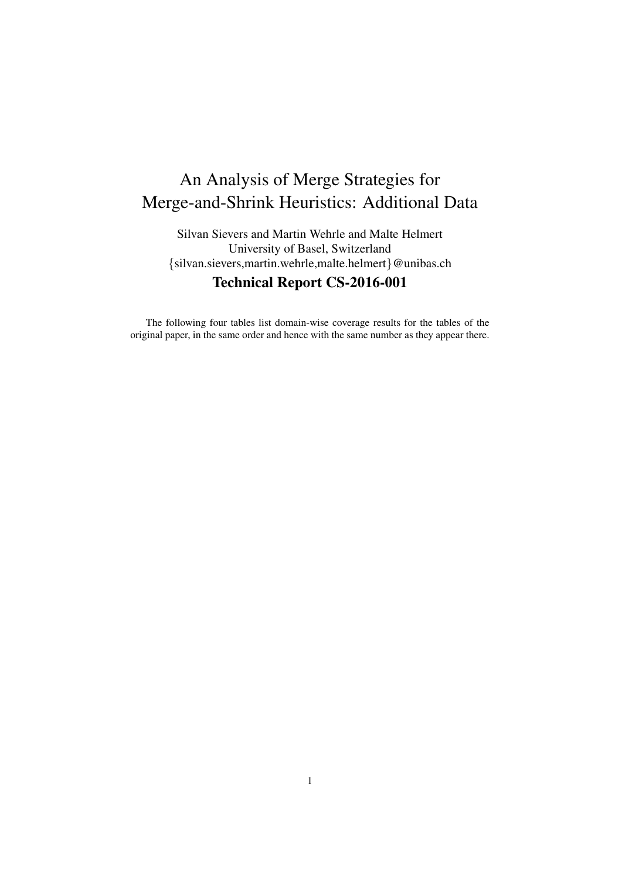## An Analysis of Merge Strategies for Merge-and-Shrink Heuristics: Additional Data

Silvan Sievers and Martin Wehrle and Malte Helmert University of Basel, Switzerland {silvan.sievers,martin.wehrle,malte.helmert}@unibas.ch Technical Report CS-2016-001

The following four tables list domain-wise coverage results for the tables of the original paper, in the same order and hence with the same number as they appear there.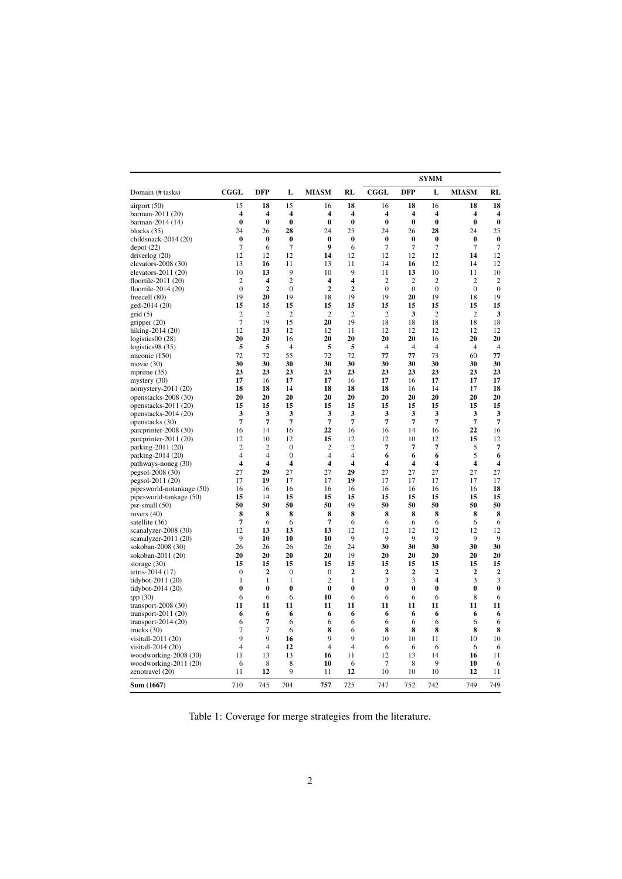|                                          |                         |                         |                         |                                |                |                     | SYMM           |                         |                |                  |  |
|------------------------------------------|-------------------------|-------------------------|-------------------------|--------------------------------|----------------|---------------------|----------------|-------------------------|----------------|------------------|--|
| Domain (# tasks)                         | $_{\rm CGGL}$           | <b>DFP</b>              | L                       | <b>MIASM</b>                   | <b>RL</b>      | <b>CGGL</b>         | <b>DFP</b>     | L                       | <b>MIASM</b>   | RL               |  |
| airport (50)                             | 15                      | 18                      | 15                      | 16                             | 18             | 16                  | 18             | 16                      | 18             | 18               |  |
| barman-2011 (20)                         | 4                       | 4                       | $\overline{\mathbf{4}}$ | 4                              | 4              | 4                   | 4              | 4                       | 4              | 4                |  |
| barman-2014 (14)                         | $\bf{0}$                | $\bf{0}$                | $\bf{0}$                | $\bf{0}$                       | $\bf{0}$       | $\bf{0}$            | $\bf{0}$       | $\bf{0}$                | $\bf{0}$       | $\bf{0}$         |  |
| blocks $(35)$                            | 24                      | 26                      | 28                      | 24                             | 25             | 24                  | 26             | 28                      | 24             | 25               |  |
| childsnack-2014 (20)                     | $\bf{0}$                | $\bf{0}$                | $\bf{0}$                | $\bf{0}$                       | $\bf{0}$       | $\bf{0}$            | $\bf{0}$       | $\bf{0}$                | $\bf{0}$       | $\bf{0}$         |  |
| depot(22)                                | 7                       | 6                       | $\overline{7}$          | 9                              | 6              | 7                   | $\overline{7}$ | 7                       | 7              | $\overline{7}$   |  |
| driverlog (20)                           | 12                      | 12                      | 12                      | 14                             | 12             | 12                  | 12             | 12                      | 14             | 12               |  |
| elevators-2008 (30)                      | 13                      | 16                      | 11                      | 13                             | 11             | 14                  | 16             | 12                      | 14             | 12               |  |
| elevators-2011 (20)                      | 10                      | 13                      | 9                       | 10                             | 9              | 11                  | 13             | 10                      | 11             | 10               |  |
| floortile-2011 (20)                      | $\overline{2}$          | $\overline{\mathbf{4}}$ | $\overline{c}$          | 4                              | 4              | $\overline{2}$      | $\overline{c}$ | $\overline{2}$          | $\overline{c}$ | $\overline{c}$   |  |
| floortile-2014 (20)                      | $\mathbf{0}$            | $\overline{2}$          | $\theta$                | $\overline{2}$                 | $\mathbf{2}$   | $\mathbf{0}$        | $\theta$       | $\mathbf{0}$            | $\mathbf{0}$   | $\boldsymbol{0}$ |  |
| freecell (80)                            | 19                      | 20                      | 19                      | 18                             | 19             | 19                  | 20             | 19                      | 18             | 19               |  |
| ged-2014 (20)                            | 15                      | 15                      | 15                      | 15                             | 15             | 15                  | 15             | 15                      | 15             | 15               |  |
| grid(5)                                  | $\overline{2}$          | $\overline{2}$          | $\overline{2}$          | $\overline{c}$                 | $\overline{2}$ | $\overline{2}$      | 3              | $\overline{2}$          | $\overline{2}$ | 3                |  |
| gripper (20)                             | 7                       | 19                      | 15                      | 20                             | 19             | 18                  | 18             | 18                      | 18             | 18               |  |
| hiking-2014 (20)                         | 12                      | 13                      | 12                      | 12                             | 11             | 12                  | 12             | 12                      | 12             | 12               |  |
| logistics00 (28)                         | 20                      | 20                      | 16                      | 20                             | 20             | 20                  | 20             | 16                      | 20             | 20               |  |
| logistics $98(35)$                       | 5                       | 5                       | $\overline{4}$          | 5                              | 5              | 4                   | 4              | $\overline{4}$          | 4              | 4                |  |
| miconic (150)                            | 72                      | 72                      | 55                      | 72                             | 72             | 77                  | 77             | 73                      | 60             | 77               |  |
| movie (30)                               | 30                      | 30                      | 30                      | 30                             | 30             | 30                  | 30             | 30                      | 30             | 30               |  |
| mprime (35)                              | 23                      | 23                      | 23                      | 23                             | 23             | 23                  | 23             | 23                      | 23             | 23               |  |
| mystery (30)                             | 17                      | 16                      | 17                      | 17                             | 16             | 17                  | 16             | 17                      | 17             | 17               |  |
| nomystery-2011 (20)                      | 18                      | 18                      | 14                      | 18                             | 18             | 18                  | 16             | 14                      | 17             | 18               |  |
| openstacks-2008 (30)                     | 20                      | 20                      | 20                      | 20                             | 20             | 20                  | 20             | 20                      | 20             | 20               |  |
| openstacks-2011 (20)                     | 15                      | 15                      | 15                      | 15                             | 15             | 15                  | 15             | 15                      | 15             | 15               |  |
| openstacks-2014 (20)                     | 3                       | 3                       | 3                       | 3                              | 3              | 3                   | 3              | 3                       | 3              | 3                |  |
| openstacks (30)                          | $\overline{7}$          | $\overline{7}$          | 7                       | 7                              | $\overline{7}$ | $\overline{7}$      | 7              | $\overline{7}$          | 7              | $\overline{7}$   |  |
| parcprinter-2008 (30)                    | 16                      | 14                      | 16                      | 22                             | 16             | 16                  | 14             | 16                      | 22             | 16               |  |
| parcprinter-2011 (20)                    | 12                      | 10                      | 12                      | 15                             | 12             | 12                  | 10             | 12                      | 15             | 12               |  |
| parking-2011 (20)                        | $\overline{c}$          | $\overline{c}$          | $\mathbf{0}$            | $\overline{c}$                 | $\overline{c}$ | $\overline{7}$      | 7              | 7                       | 5              | 7                |  |
| parking-2014 (20)                        | $\overline{4}$          | $\overline{4}$          | $\mathbf{0}$            | $\overline{4}$                 | 4              | 6                   | 6              | 6                       | 5              | 6                |  |
| pathways-noneg (30)                      | $\overline{\mathbf{4}}$ | $\overline{\mathbf{4}}$ | 4                       | 4                              | 4              | 4                   | 4              | $\overline{\mathbf{4}}$ | 4              | 4                |  |
| pegsol-2008 (30)                         | 27                      | 29                      | 27                      | 27                             | 29             | 27                  | 27             | 27                      | 27             | 27               |  |
| pegsol-2011 (20)                         | 17                      | 19                      | 17                      | 17                             | 19             | 17                  | 17             | 17                      | 17             | 17               |  |
| pipesworld-notankage (50)                | 16                      | 16                      | 16                      | 16                             | 16             | 16                  | 16             | 16                      | 16             | 18               |  |
| pipesworld-tankage (50)                  | 15                      | 14                      | 15                      | 15                             | 15             | 15                  | 15             | 15                      | 15             | 15               |  |
| psr-small (50)                           | 50                      | 50                      | 50                      | 50                             | 49             | 50                  | 50             | 50                      | 50             | 50               |  |
| rovers $(40)$                            | 8                       | 8                       | 8                       | 8                              | 8              | 8                   | 8              | 8                       | 8              | 8                |  |
| satellite (36)                           | 7                       | 6                       | 6                       | 7                              | 6              | 6                   | 6              | 6                       | 6              | 6                |  |
| scanalyzer-2008 (30)                     | 12                      | 13                      | 13                      | 13                             | 12             | 12                  | 12             | 12                      | 12             | 12               |  |
| scanalyzer-2011 (20)                     | 9                       | 10                      | 10                      | 10                             | 9              | 9                   | 9              | 9                       | 9              | 9                |  |
| sokoban-2008 (30)                        | 26                      | 26                      | 26                      | 26                             | 24             | 30                  | 30             | 30                      | 30             | 30               |  |
| sokoban-2011 (20)                        | 20                      | 20                      | 20                      | 20                             | 19             | 20                  | 20             | 20                      | 20             | 20               |  |
| storage $(30)$                           | 15                      | 15                      | 15                      | 15                             | 15             | 15                  | 15             | 15                      | 15             | 15               |  |
| tetris-2014 (17)                         | 0                       | $\overline{2}$          | $\mathbf{0}$            | $\mathbf{0}$<br>$\overline{2}$ | $\mathbf{2}$   | $\overline{2}$<br>3 | $\overline{2}$ | $\overline{2}$<br>4     | 2<br>3         | $\overline{2}$   |  |
| tidybot-2011 (20)                        | $\mathbf{1}$            | $\mathbf{1}$            | $\mathbf{1}$            |                                | 1              |                     | 3              |                         |                | 3                |  |
| tidybot-2014 (20)                        | 0                       | $\bf{0}$                | $\bf{0}$                | $\bf{0}$<br>10                 | $\bf{0}$       | $\bf{0}$            | $\bf{0}$       | 0                       | $\bf{0}$       | 0                |  |
| tpp (30)                                 | 6                       | 6<br>11                 | 6                       |                                | 6              | 6                   | 6              | 6                       | 8              | 6                |  |
| transport-2008 (30)                      | 11                      |                         | 11                      | 11                             | 11             | 11                  | 11             | 11                      | 11             | 11               |  |
| transport-2011 (20)                      | 6                       | 6<br>7                  | 6                       | 6                              | 6              | 6                   | 6              | 6                       | 6              | 6                |  |
| transport-2014 $(20)$                    | 6<br>7                  | $\overline{7}$          | 6                       | 6                              | 6              | 6                   | 6              | 6                       | 6              | 6<br>8           |  |
| trucks (30)<br>visitall-2011 (20)        | 9                       | 9                       | 6<br>16                 | 8<br>9                         | 6<br>9         | 8<br>10             | 8<br>10        | 8<br>11                 | 8<br>10        | 10               |  |
|                                          | $\overline{4}$          | $\overline{4}$          | 12                      | $\overline{4}$                 | $\overline{4}$ | 6                   |                | 6                       | 6              |                  |  |
| visitall-2014 (20)                       | 11                      | 13                      | 13                      | 16                             | 11             | 12                  | 6<br>13        | 14                      |                | 6<br>11          |  |
| woodworking-2008 (30)                    | 6                       | 8                       | 8                       | 10                             | 6              | 7                   | 8              | 9                       | 16<br>10       | 6                |  |
| woodworking-2011 (20)<br>zenotravel (20) | 11                      | 12                      | 9                       | 11                             | 12             | 10                  | 10             | 10                      | 12             | 11               |  |
| Sum (1667)                               | 710                     | 745                     | 704                     | 757                            | 725            | 747                 | 752            | 742                     | 749            | 749              |  |
|                                          |                         |                         |                         |                                |                |                     |                |                         |                |                  |  |

Table 1: Coverage for merge strategies from the literature.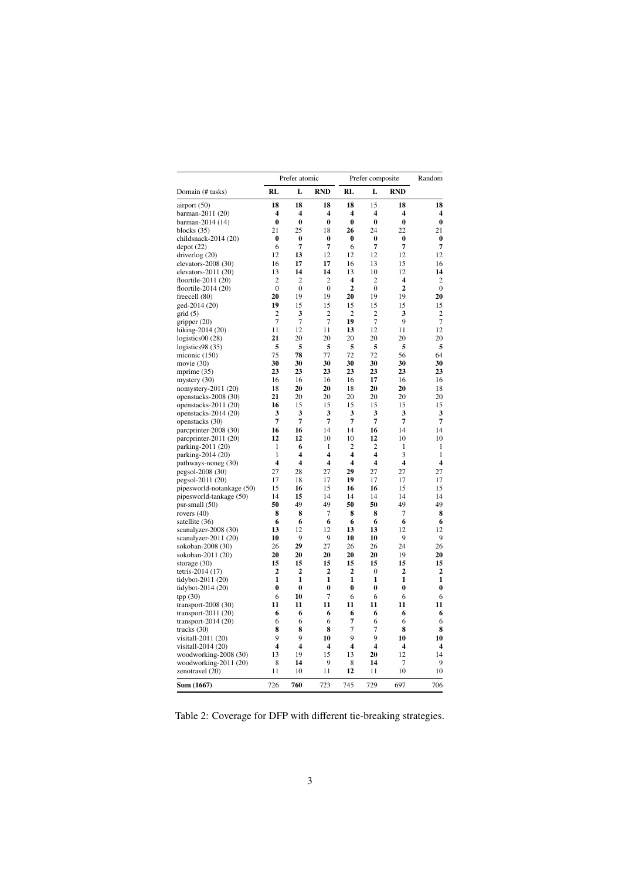|                               |                         | Prefer atomic  |                         | Prefer composite | Random                  |                |              |
|-------------------------------|-------------------------|----------------|-------------------------|------------------|-------------------------|----------------|--------------|
| Domain (# tasks)              | RL                      | L              | <b>RND</b>              | RL               | L                       | <b>RND</b>     |              |
| airport (50)                  | 18                      | 18             | 18                      | 18               | 15                      | 18             | 18           |
| barman-2011 (20)              | $\overline{\mathbf{4}}$ | 4              | $\overline{\mathbf{4}}$ | 4                | 4                       | 4              | 4            |
| barman-2014 (14)              | $\bf{0}$                | $\bf{0}$       | $\bf{0}$                | $\bf{0}$         | $\bf{0}$                | $\bf{0}$       | $\bf{0}$     |
| blocks $(35)$                 | 21                      | 25             | 18                      | 26               | 24                      | 22             | 21           |
| childsnack- $2014(20)$        | $\bf{0}$                | $\bf{0}$       | $\bf{0}$                | 0                | 0                       | $\bf{0}$       | 0            |
| depot(22)                     | 6                       | 7              | 7                       | 6                | 7                       | 7              | 7            |
| driverlog $(20)$              | 12                      | 13             | 12                      | 12               | 12                      | 12             | 12           |
| elevators- $2008(30)$         | 16                      | 17             | 17                      | 16               | 13                      | 15             | 16           |
| elevators- $2011(20)$         | 13                      | 14             | 14                      | 13               | 10                      | 12             | 14           |
| floortile-2011 $(20)$         | $\overline{c}$          | 2              | 2                       | 4                | $\overline{c}$          | 4              | 2            |
| floortile- $2014(20)$         | $\boldsymbol{0}$        | 0              | 0                       | $\mathbf{2}$     | 0                       | $\mathbf{2}$   | $\bf{0}$     |
| freecell $(80)$               | 20                      | 19             | 19                      | 20               | 19                      | 19             | 20           |
| ged-2014 (20)                 | 19                      | 15             | 15                      | 15               | 15                      | 15             | 15           |
| grid(5)                       | 2                       | 3              | 2                       | 2                | 2                       | 3              | 2            |
| gripper $(20)$                | $\overline{7}$          | $\overline{7}$ | 7                       | 19               | 7                       | 9              | 7            |
| hiking-2014 (20)              | 11                      | 12             | 11                      | 13               | 12                      | 11             | 12           |
| logistics $00(28)$            | 21                      | 20             | 20                      | 20               | 20                      | 20             | 20           |
| logistics $98(35)$            | 5                       | 5              | 5                       | 5                | 5                       | 5              | 5            |
|                               | 75                      | 78             | 77                      | 72               | 72                      | 56             | 64           |
| miconic $(150)$               | 30                      | 30             | 30                      | 30               | 30                      | 30             | 30           |
| movie $(30)$                  | 23                      | 23             | 23                      | 23               | 23                      | 23             | 23           |
| mprime $(35)$                 |                         |                |                         |                  |                         |                |              |
| mystery $(30)$                | 16                      | 16             | 16                      | 16               | 17                      | 16             | 16           |
| nomystery-2011 $(20)$         | 18                      | 20             | 20                      | 18               | 20                      | 20             | 18           |
| openstacks-2008 (30)          | 21                      | 20             | 20                      | 20               | 20                      | 20             | 20           |
| openstacks- $2011(20)$        | 16                      | 15             | 15                      | 15               | 15                      | 15             | 15           |
| openstacks- $2014(20)$        | 3                       | 3              | 3                       | 3                | 3                       | 3              | 3            |
| openstacks (30)               | 7                       | 7              | 7                       | 7                | 7                       | 7              | 7            |
| parcprinter-2008 (30)         | 16                      | 16             | 14                      | 14               | 16                      | 14             | 14           |
| parcprinter-2011 (20)         | 12                      | 12             | 10                      | 10               | 12                      | 10             | 10           |
| parking-2011 (20)             | 1                       | 6              | 1                       | $\overline{2}$   | $\overline{2}$          | 1              | 1            |
| parking-2014 (20)             | 1                       | 4              | $\overline{\mathbf{4}}$ | 4                | 4                       | 3              | 1            |
| pathways-noneg (30)           | $\overline{\mathbf{4}}$ | 4              | $\overline{\mathbf{4}}$ | 4                | 4                       | 4              | 4            |
| pegsol-2008 (30)              | 27                      | 28             | 27                      | 29               | 27                      | 27             | 27           |
| pegsol-2011 (20)              | 17                      | 18             | 17                      | 19               | 17                      | 17             | 17           |
| pipesworld-notankage (50)     | 15                      | 16             | 15                      | 16               | 16                      | 15             | 15           |
| pipesworld-tankage (50)       | 14                      | 15             | 14                      | 14               | 14                      | 14             | 14           |
| $psr$ -small $(50)$           | 50                      | 49             | 49                      | 50               | 50                      | 49             | 49           |
| rovers $(40)$                 | 8                       | 8              | 7                       | 8                | 8                       | $\overline{7}$ | 8            |
| satellite (36)                | 6                       | 6              | 6                       | 6                | 6                       | 6              | 6            |
| scanalyzer-2008 (30)          | 13                      | 12             | 12                      | 13               | 13                      | 12             | 12           |
| scanalyzer-2011 (20)          | 10                      | 9              | 9                       | 10               | 10                      | 9              | 9            |
| sokoban-2008 (30)             | 26                      | 29             | 27                      | 26               | 26                      | 24             | 26           |
| sokoban-2011 (20)             | 20                      | 20             | 20                      | 20               | 20                      | 19             | 20           |
| storage $(30)$                | 15                      | 15             | 15                      | 15               | 15                      | 15             | 15           |
| tetris-2014 (17)              | $\overline{2}$          | $\overline{2}$ | $\overline{2}$          | $\overline{2}$   | 0                       | $\overline{2}$ | $\mathbf{2}$ |
| tidybot-2011 (20)             | 1                       | 1              | 1                       | 1                | 1                       | 1              | 1            |
| tidybot-2014 $(20)$           | 0                       | $\bf{0}$       | 0                       | $\bf{0}$         | 0                       | 0              | $\bf{0}$     |
| tpp(30)                       | 6                       | 10             | 7                       | 6                | 6                       | 6              | 6            |
| transport- $2008(30)$         | 11                      | 11             | 11                      | 11               | 11                      | 11             | 11           |
| transport-2011 $(20)$         | 6                       | 6              | 6                       | 6                | 6                       | 6              | 6            |
| transport-2014 (20)           | 6                       | 6              | 6                       | 7                | 6                       | 6              | 6            |
| trucks $(30)$                 | 8                       | 8              | 8                       | 7                | 7                       | 8              | 8            |
| visitall-2011 (20)            | 9                       | 9              | 10                      | 9                | 9                       | 10             | 10           |
| visitall-2014 (20)            | 4                       | 4              | $\overline{\mathbf{4}}$ | 4                | $\overline{\mathbf{4}}$ | 4              | 4            |
|                               | 13                      | 19             | 15                      | 13               | 20                      | 12             | 14           |
| woodworking-2008 (30)         |                         | 14             | 9                       |                  | 14                      | 7              | 9            |
| woodworking-2011 (20)         | 8                       |                |                         | 8                |                         |                |              |
| zenotravel (20)<br>Sum (1667) | 11<br>726               | 10<br>760      | 11<br>723               | 12<br>745        | 11<br>729               | 10<br>697      | 10<br>706    |
|                               |                         |                |                         |                  |                         |                |              |

Table 2: Coverage for DFP with different tie-breaking strategies.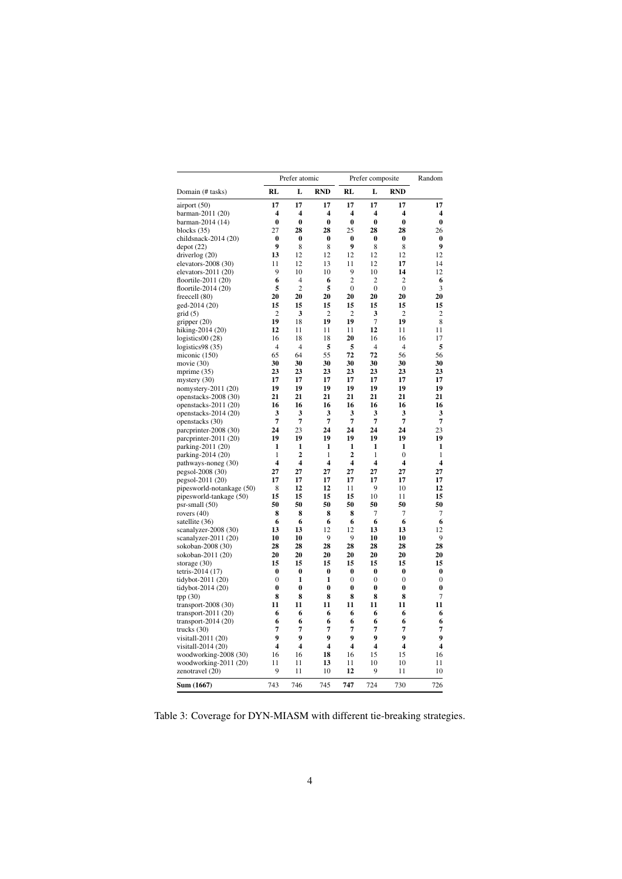|                                           | Prefer atomic           |                |                | Prefer composite | Random                  |                |                         |
|-------------------------------------------|-------------------------|----------------|----------------|------------------|-------------------------|----------------|-------------------------|
| Domain (# tasks)                          | RL                      | L              | <b>RND</b>     | RL               | L                       | <b>RND</b>     |                         |
| airport (50)                              | 17                      | 17             | 17             | 17               | 17                      | 17             | 17                      |
| barman-2011 (20)                          | 4                       | 4              | 4              | 4                | 4                       | 4              | 4                       |
| barman-2014 (14)                          | $\bf{0}$                | $\bf{0}$       | $\bf{0}$       | $\bf{0}$         | $\bf{0}$                | $\bf{0}$       | $\bf{0}$                |
| blocks $(35)$                             | 27                      | 28             | 28             | 25               | 28                      | 28             | 26                      |
| childsnack-2014 (20)                      | 0                       | 0              | 0              | 0                | $\bf{0}$                | 0              | $\bf{0}$                |
| depot(22)                                 | 9                       | 8              | 8              | 9                | 8                       | 8              | 9                       |
| driverlog $(20)$                          | 13                      | 12             | 12             | 12               | 12                      | 12             | 12                      |
| elevators- $2008(30)$                     | 11                      | 12             | 13             | 11               | 12                      | 17             | 14                      |
| elevators-2011 (20)                       | 9                       | 10             | 10             | 9                | 10                      | 14             | 12                      |
| floortile-2011 (20)                       | 6                       | $\overline{4}$ | 6              | $\overline{c}$   | 2                       | 2              | 6                       |
| floortile-2014 $(20)$                     | 5                       | $\overline{2}$ | 5              | $\mathbf{0}$     | $\mathbf{0}$            | $\mathbf{0}$   | 3                       |
| freecell (80)                             | 20                      | 20             | 20             | 20               | 20                      | 20             | 20                      |
| ged-2014 (20)                             | 15                      | 15             | 15             | 15               | 15                      | 15             | 15                      |
| grid(5)                                   | $\overline{c}$          | 3              | $\overline{c}$ | $\overline{c}$   | 3                       | $\overline{c}$ | $\overline{c}$          |
| gripper $(20)$                            | 19                      | 18             | 19             | 19               | 7                       | 19             | 8                       |
| hiking-2014 (20)                          | 12                      | 11             | 11             | 11               | 12                      | 11             | 11                      |
| logistics00 (28)                          | 16                      | 18             | 18             | 20               | 16                      | 16             | 17                      |
| logistics98 (35)                          | $\overline{4}$          | $\overline{4}$ | 5              | 5                | $\overline{4}$          | $\overline{4}$ | 5                       |
| miconic (150)                             | 65                      | 64             | 55             | 72               | 72                      | 56             | 56                      |
| movie $(30)$                              | 30                      | 30             | 30             | 30               | 30                      | 30             | 30                      |
| mprime $(35)$                             | 23                      | 23             | 23             | 23               | 23                      | 23             | 23                      |
| mystery $(30)$                            | 17                      | 17             | 17             | 17               | 17                      | 17             | 17                      |
| nomystery-2011 (20)                       | 19                      | 19             | 19             | 19               | 19                      | 19             | 19                      |
| openstacks-2008 (30)                      | 21                      | 21             | 21             | 21               | 21                      | 21             | 21                      |
| openstacks-2011 (20)                      | 16                      | 16             | 16             | 16               | 16                      | 16             | 16                      |
| openstacks-2014 (20)                      | 3                       | 3              | 3              | 3                | 3                       | 3              | 3                       |
| openstacks (30)                           | 7                       | 7              | 7              | 7                | 7                       | 7              | $\overline{7}$          |
| parcprinter-2008 (30)                     | 24                      | 23             | 24             | 24               | 24                      | 24             | 23                      |
| parcprinter-2011 (20)                     | 19                      | 19             | 19             | 19               | 19                      | 19             | 19                      |
| parking-2011 (20)                         | 1                       | 1              | 1              | 1                | 1                       | 1              | 1                       |
| parking-2014 (20)                         | 1                       | 2<br>4         | 1              | 2<br>4           | 1                       | $\mathbf{0}$   | 1                       |
| pathways-noneg (30)                       | 4                       |                | 4<br>27        |                  | 4<br>27                 | 4<br>27        | 4                       |
| pegsol-2008 (30)                          | 27<br>17                | 27             |                | 27               |                         |                | 27                      |
| pegsol-2011 (20)                          | 8                       | 17<br>12       | 17<br>12       | 17<br>11         | 17<br>9                 | 17<br>10       | 17<br>12                |
| pipesworld-notankage (50)                 | 15                      | 15             | 15             | 15               | 10                      | 11             | 15                      |
| pipesworld-tankage (50)<br>psr-small (50) | 50                      | 50             | 50             | 50               | 50                      | 50             | 50                      |
| rovers $(40)$                             | 8                       | 8              | 8              | 8                | 7                       | 7              | 7                       |
| satellite (36)                            | 6                       | 6              | 6              | 6                | 6                       | 6              | 6                       |
| scanalyzer-2008 (30)                      | 13                      | 13             | 12             | 12               | 13                      | 13             | 12                      |
| scanalyzer-2011 (20)                      | 10                      | 10             | 9              | 9                | 10                      | 10             | 9                       |
| sokoban-2008 (30)                         | 28                      | 28             | 28             | 28               | 28                      | 28             | 28                      |
| sokoban-2011 (20)                         | 20                      | 20             | 20             | 20               | 20                      | 20             | 20                      |
| storage $(30)$                            | 15                      | 15             | 15             | 15               | 15                      | 15             | 15                      |
| tetris-2014 (17)                          | 0                       | 0              | 0              | 0                | 0                       | 0              | $\bf{0}$                |
| tidybot-2011 (20)                         | $\mathbf{0}$            | 1              | 1              | $\mathbf{0}$     | 0                       | $\mathbf{0}$   | $\mathbf{0}$            |
| tidybot-2014 (20)                         | 0                       | 0              | 0              | 0                | 0                       | 0              | 0                       |
| tpp $(30)$                                | 8                       | 8              | 8              | 8                | 8                       | 8              | $\tau$                  |
| transport- $2008(30)$                     | 11                      | 11             | 11             | 11               | 11                      | 11             | 11                      |
| transport-2011 $(20)$                     | 6                       | 6              | 6              | 6                | 6                       | 6              | 6                       |
| transport-2014 (20)                       | 6                       | 6              | 6              | 6                | 6                       | 6              | 6                       |
| trucks (30)                               | 7                       | 7              | 7              | 7                | 7                       | 7              | 7                       |
| visitall-2011 (20)                        | 9                       | 9              | 9              | 9                | 9                       | 9              | 9                       |
| visitall-2014 (20)                        | $\overline{\mathbf{4}}$ | 4              | 4              | 4                | $\overline{\mathbf{4}}$ | 4              | $\overline{\mathbf{4}}$ |
| woodworking-2008 (30)                     | 16                      | 16             | 18             | 16               | 15                      | 15             | 16                      |
| woodworking-2011 (20)                     | 11                      | 11             | 13             | 11               | 10                      | 10             | 11                      |
| zenotravel (20)                           | 9                       | 11             | 10             | 12               | 9                       | 11             | 10                      |
| Sum (1667)                                | 743                     | 746            | 745            | 747              | 724                     | 730            | 726                     |

Table 3: Coverage for DYN-MIASM with different tie-breaking strategies.